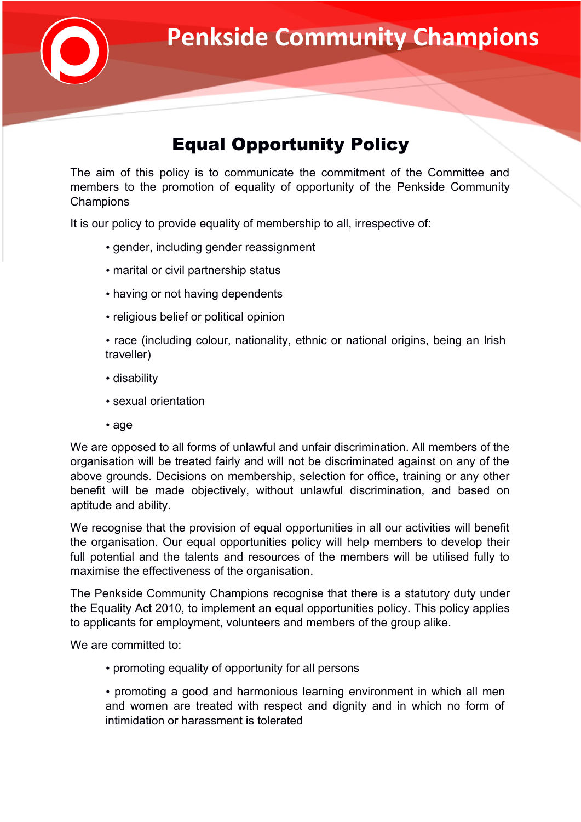

## Equal Opportunity Policy

The aim of this policy is to communicate the commitment of the Committee and members to the promotion of equality of opportunity of the Penkside Community **Champions** 

It is our policy to provide equality of membership to all, irrespective of:

- gender, including gender reassignment
- marital or civil partnership status
- having or not having dependents
- religious belief or political opinion

• race (including colour, nationality, ethnic or national origins, being an Irish traveller)

- disability
- sexual orientation
- age

We are opposed to all forms of unlawful and unfair discrimination. All members of the organisation will be treated fairly and will not be discriminated against on any of the above grounds. Decisions on membership, selection for office, training or any other benefit will be made objectively, without unlawful discrimination, and based on aptitude and ability.

We recognise that the provision of equal opportunities in all our activities will benefit the organisation. Our equal opportunities policy will help members to develop their full potential and the talents and resources of the members will be utilised fully to maximise the effectiveness of the organisation.

The Penkside Community Champions recognise that there is a statutory duty under the Equality Act 2010, to implement an equal opportunities policy. This policy applies to applicants for employment, volunteers and members of the group alike.

We are committed to:

- promoting equality of opportunity for all persons
- promoting a good and harmonious learning environment in which all men and women are treated with respect and dignity and in which no form of intimidation or harassment is tolerated